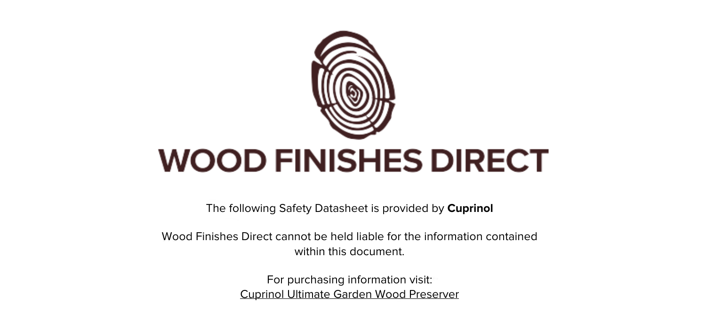

The following Safety Datasheet is provided by **Cuprinol**

Wood Finishes Direct cannot be held liable for the information contained within this document.

> For purchasing information visit: [Cuprinol Ultimate Garden Wood Preserver](https://www.wood-finishes-direct.com/product/cuprinol-ultimate-garden-wood-preserver)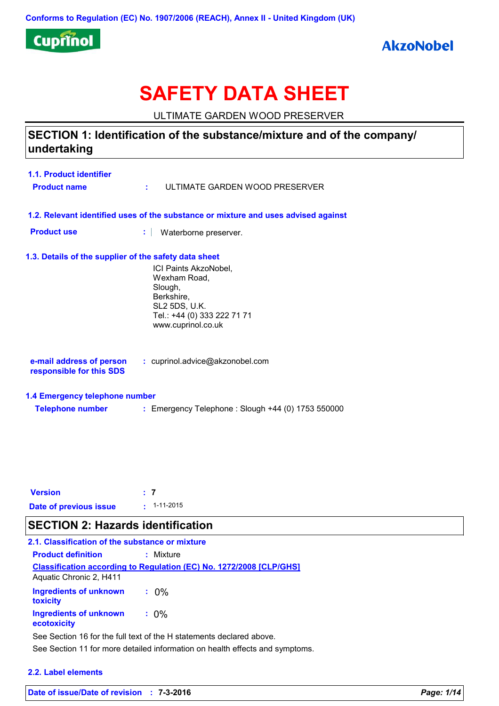

# **SAFETY DATA SHEET**

ULTIMATE GARDEN WOOD PRESERVER

### SECTION 1: Identification of the substance/mixture and of the company/ undertaking

| 1.1. Product identifier<br><b>Product name</b>            | : ULTIMATE GARDEN WOOD PRESERVER                                                                                                     |
|-----------------------------------------------------------|--------------------------------------------------------------------------------------------------------------------------------------|
|                                                           | 1.2. Relevant identified uses of the substance or mixture and uses advised against                                                   |
| <b>Product use</b>                                        | Waterborne preserver.<br>t.                                                                                                          |
| 1.3. Details of the supplier of the safety data sheet     |                                                                                                                                      |
|                                                           | ICI Paints AkzoNobel,<br>Wexham Road,<br>Slough,<br>Berkshire,<br>SL2 5DS, U.K.<br>Tel.: +44 (0) 333 222 71 71<br>www.cuprinol.co.uk |
| e-mail address of person<br>responsible for this SDS      | : cuprinol.advice@akzonobel.com                                                                                                      |
| 1.4 Emergency telephone number<br><b>Telephone number</b> | : Emergency Telephone : Slough +44 (0) 1753 550000                                                                                   |

| <b>Version</b>         | $\pm$ 7 |                   |
|------------------------|---------|-------------------|
| Date of previous issue |         | $: 1 - 11 - 2015$ |

### SECTION 2: Hazards identification

| 2.1. Classification of the substance or mixture                      |                                                                            |  |  |  |
|----------------------------------------------------------------------|----------------------------------------------------------------------------|--|--|--|
| <b>Product definition</b>                                            | $:$ Mixture                                                                |  |  |  |
| Aquatic Chronic 2, H411                                              | <b>Classification according to Regulation (EC) No. 1272/2008 [CLP/GHS]</b> |  |  |  |
| <b>Ingredients of unknown</b><br>toxicity                            | $: 0\%$                                                                    |  |  |  |
| <b>Ingredients of unknown</b><br>ecotoxicity                         | $: 0\%$                                                                    |  |  |  |
| See Section 16 for the full text of the H statements declared above. |                                                                            |  |  |  |

See Section 11 for more detailed information on health effects and symptoms.

#### 2.2. Label elements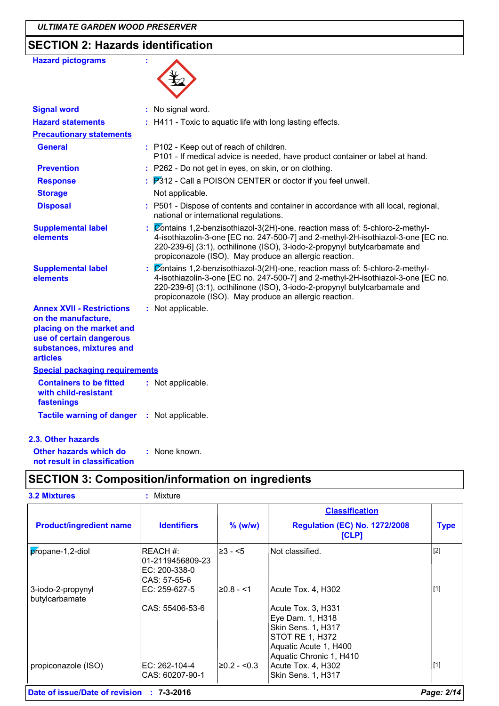## SECTION 2: Hazards identification

| <b>Hazard pictograms</b>                                                                                                                                        |                                                                                                                                                                                                                                                                                                                      |
|-----------------------------------------------------------------------------------------------------------------------------------------------------------------|----------------------------------------------------------------------------------------------------------------------------------------------------------------------------------------------------------------------------------------------------------------------------------------------------------------------|
| <b>Signal word</b>                                                                                                                                              | : No signal word.                                                                                                                                                                                                                                                                                                    |
| <b>Hazard statements</b>                                                                                                                                        | : H411 - Toxic to aquatic life with long lasting effects.                                                                                                                                                                                                                                                            |
| <b>Precautionary statements</b>                                                                                                                                 |                                                                                                                                                                                                                                                                                                                      |
| <b>General</b>                                                                                                                                                  | : P102 - Keep out of reach of children.<br>P101 - If medical advice is needed, have product container or label at hand.                                                                                                                                                                                              |
| <b>Prevention</b>                                                                                                                                               | : P262 - Do not get in eyes, on skin, or on clothing.                                                                                                                                                                                                                                                                |
| <b>Response</b>                                                                                                                                                 | $\frac{1}{2}$ $\overline{P}312$ - Call a POISON CENTER or doctor if you feel unwell.                                                                                                                                                                                                                                 |
| <b>Storage</b>                                                                                                                                                  | Not applicable.                                                                                                                                                                                                                                                                                                      |
| <b>Disposal</b>                                                                                                                                                 | : P501 - Dispose of contents and container in accordance with all local, regional,<br>national or international regulations.                                                                                                                                                                                         |
| <b>Supplemental label</b><br>elements                                                                                                                           | $\emptyset$ ontains 1,2-benzisothiazol-3(2H)-one, reaction mass of: 5-chloro-2-methyl-<br>4-isothiazolin-3-one [EC no. 247-500-7] and 2-methyl-2H-isothiazol-3-one [EC no.<br>220-239-6] (3:1), octhilinone (ISO), 3-iodo-2-propynyl butylcarbamate and<br>propiconazole (ISO). May produce an allergic reaction.    |
| <b>Supplemental label</b><br>elements                                                                                                                           | $\frac{1}{2}$ Contains 1,2-benzisothiazol-3(2H)-one, reaction mass of: 5-chloro-2-methyl-<br>4-isothiazolin-3-one [EC no. 247-500-7] and 2-methyl-2H-isothiazol-3-one [EC no.<br>220-239-6] (3:1), octhilinone (ISO), 3-iodo-2-propynyl butylcarbamate and<br>propiconazole (ISO). May produce an allergic reaction. |
| <b>Annex XVII - Restrictions</b><br>on the manufacture,<br>placing on the market and<br>use of certain dangerous<br>substances, mixtures and<br><b>articles</b> | : Not applicable.                                                                                                                                                                                                                                                                                                    |
| <b>Special packaging requirements</b>                                                                                                                           |                                                                                                                                                                                                                                                                                                                      |
| <b>Containers to be fitted</b><br>with child-resistant<br>fastenings                                                                                            | : Not applicable.                                                                                                                                                                                                                                                                                                    |
| <b>Tactile warning of danger</b>                                                                                                                                | : Not applicable.                                                                                                                                                                                                                                                                                                    |
| 2.3. Other hazards                                                                                                                                              |                                                                                                                                                                                                                                                                                                                      |

Other hazards which do : None known. not result in classification

### **SECTION 3: Composition/information on ingredients**

| <b>3.2 Mixtures</b>                 | : Mixture                                                    |               |                                                                                                                                            |             |
|-------------------------------------|--------------------------------------------------------------|---------------|--------------------------------------------------------------------------------------------------------------------------------------------|-------------|
|                                     |                                                              |               | <b>Classification</b>                                                                                                                      |             |
| <b>Product/ingredient name</b>      | <b>Identifiers</b>                                           | $%$ (w/w)     | <b>Regulation (EC) No. 1272/2008</b><br>[CLP]                                                                                              | <b>Type</b> |
| propane-1,2-diol                    | REACH#:<br>01-2119456809-23<br>EC: 200-338-0<br>CAS: 57-55-6 | $\geq 3 - 5$  | Not classified.                                                                                                                            | $[2]$       |
| 3-iodo-2-propynyl<br>butylcarbamate | $EC: 259-627-5$                                              | $≥0.8 - 51$   | Acute Tox. 4, H302                                                                                                                         | $[1]$       |
|                                     | CAS: 55406-53-6                                              |               | Acute Tox. 3, H331<br>Eye Dam. 1, H318<br><b>Skin Sens. 1, H317</b><br>STOT RE 1, H372<br>Aquatic Acute 1, H400<br>Aquatic Chronic 1, H410 |             |
| propiconazole (ISO)                 | $EC: 262-104-4$<br>CAS: 60207-90-1                           | $≥0.2 - <0.3$ | Acute Tox. 4, H302<br>Skin Sens. 1, H317                                                                                                   | $[1]$       |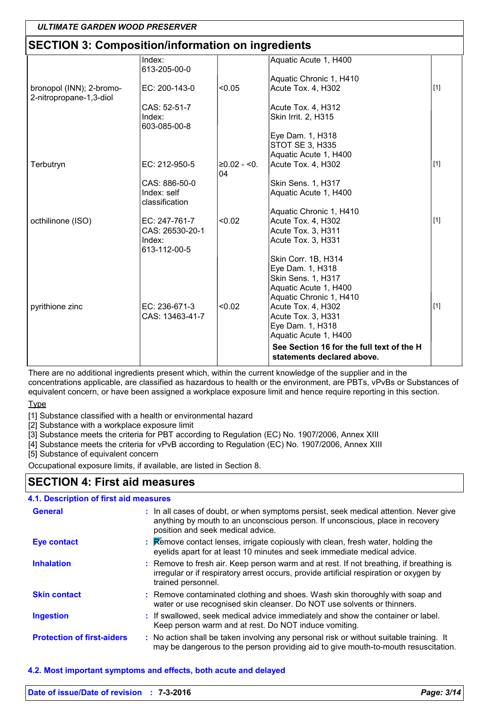| <b>ULTIMATE GARDEN WOOD PRESERVER</b>               |                                                          |                     |                                                                         |       |  |
|-----------------------------------------------------|----------------------------------------------------------|---------------------|-------------------------------------------------------------------------|-------|--|
|                                                     | <b>SECTION 3: Composition/information on ingredients</b> |                     |                                                                         |       |  |
|                                                     | Index:<br>613-205-00-0                                   |                     | Aquatic Acute 1, H400                                                   |       |  |
|                                                     |                                                          |                     | Aquatic Chronic 1, H410                                                 |       |  |
| bronopol (INN); 2-bromo-<br>2-nitropropane-1,3-diol | EC: 200-143-0                                            | < 0.05              | Acute Tox. 4, H302                                                      | [1]   |  |
|                                                     | CAS: 52-51-7<br>Index:                                   |                     | Acute Tox. 4, H312                                                      |       |  |
|                                                     | 603-085-00-8                                             |                     | Skin Irrit. 2, H315                                                     |       |  |
|                                                     |                                                          |                     | Eye Dam. 1, H318                                                        |       |  |
|                                                     |                                                          |                     | <b>STOT SE 3, H335</b><br>Aquatic Acute 1, H400                         |       |  |
| Terbutryn                                           | EC: 212-950-5                                            | $≥0.02 - <0.$<br>04 | Acute Tox. 4, H302                                                      | $[1]$ |  |
|                                                     | CAS: 886-50-0                                            |                     | Skin Sens. 1, H317                                                      |       |  |
|                                                     | Index: self<br>classification                            |                     | Aquatic Acute 1, H400                                                   |       |  |
|                                                     |                                                          |                     | Aquatic Chronic 1, H410                                                 |       |  |
| octhilinone (ISO)                                   | EC: 247-761-7<br>CAS: 26530-20-1                         | < 0.02              | Acute Tox. 4, H302<br>Acute Tox. 3, H311                                | [1]   |  |
|                                                     | Index:<br>613-112-00-5                                   |                     | Acute Tox. 3, H331                                                      |       |  |
|                                                     |                                                          |                     | Skin Corr. 1B, H314                                                     |       |  |
|                                                     |                                                          |                     | Eye Dam. 1, H318<br>Skin Sens. 1, H317                                  |       |  |
|                                                     |                                                          |                     | Aquatic Acute 1, H400                                                   |       |  |
|                                                     |                                                          |                     | Aquatic Chronic 1, H410                                                 |       |  |
| pyrithione zinc                                     | EC: 236-671-3<br>CAS: 13463-41-7                         | < 0.02              | Acute Tox. 4, H302<br>Acute Tox. 3, H331                                | $[1]$ |  |
|                                                     |                                                          |                     | Eye Dam. 1, H318                                                        |       |  |
|                                                     |                                                          |                     | Aquatic Acute 1, H400                                                   |       |  |
|                                                     |                                                          |                     | See Section 16 for the full text of the H<br>statements declared above. |       |  |

There are no additional ingredients present which, within the current knowledge of the supplier and in the concentrations applicable, are classified as hazardous to health or the environment, are PBTs, vPvBs or Substances of equivalent concern, or have been assigned a workplace exposure limit and hence require reporting in this section.

**Type** 

[1] Substance classified with a health or environmental hazard

[2] Substance with a workplace exposure limit

[3] Substance meets the criteria for PBT according to Regulation (EC) No. 1907/2006, Annex XIII

[4] Substance meets the criteria for vPvB according to Regulation (EC) No. 1907/2006, Annex XIII

[5] Substance of equivalent concern

Occupational exposure limits, if available, are listed in Section 8.

### **SECTION 4: First aid measures**

| 4.1. Description of first aid measures |                                                                                                                                                                                                             |
|----------------------------------------|-------------------------------------------------------------------------------------------------------------------------------------------------------------------------------------------------------------|
| <b>General</b>                         | : In all cases of doubt, or when symptoms persist, seek medical attention. Never give<br>anything by mouth to an unconscious person. If unconscious, place in recovery<br>position and seek medical advice. |
| <b>Eye contact</b>                     | : Remove contact lenses, irrigate copiously with clean, fresh water, holding the<br>eyelids apart for at least 10 minutes and seek immediate medical advice.                                                |
| <b>Inhalation</b>                      | : Remove to fresh air. Keep person warm and at rest. If not breathing, if breathing is<br>irregular or if respiratory arrest occurs, provide artificial respiration or oxygen by<br>trained personnel.      |
| <b>Skin contact</b>                    | : Remove contaminated clothing and shoes. Wash skin thoroughly with soap and<br>water or use recognised skin cleanser. Do NOT use solvents or thinners.                                                     |
| <b>Ingestion</b>                       | : If swallowed, seek medical advice immediately and show the container or label.<br>Keep person warm and at rest. Do NOT induce vomiting.                                                                   |
| <b>Protection of first-aiders</b>      | : No action shall be taken involving any personal risk or without suitable training. It<br>may be dangerous to the person providing aid to give mouth-to-mouth resuscitation.                               |

#### 4.2. Most important symptoms and effects, both acute and delayed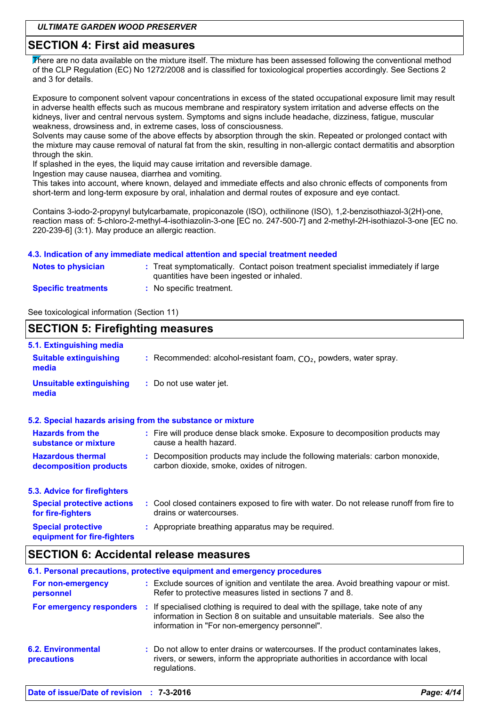### **SECTION 4: First aid measures**

There are no data available on the mixture itself. The mixture has been assessed following the conventional method of the CLP Regulation (EC) No 1272/2008 and is classified for toxicological properties accordingly. See Sections 2 and 3 for details.

Exposure to component solvent vapour concentrations in excess of the stated occupational exposure limit may result in adverse health effects such as mucous membrane and respiratory system irritation and adverse effects on the kidneys, liver and central nervous system. Symptoms and signs include headache, dizziness, fatigue, muscular weakness, drowsiness and, in extreme cases, loss of consciousness.

Solvents may cause some of the above effects by absorption through the skin. Repeated or prolonged contact with the mixture may cause removal of natural fat from the skin, resulting in non-allergic contact dermatitis and absorption through the skin.

If splashed in the eyes, the liquid may cause irritation and reversible damage.

Ingestion may cause nausea, diarrhea and vomiting.

This takes into account, where known, delayed and immediate effects and also chronic effects of components from short-term and long-term exposure by oral, inhalation and dermal routes of exposure and eye contact.

Contains 3-iodo-2-propynyl butylcarbamate, propiconazole (ISO), octhilinone (ISO), 1,2-benzisothiazol-3(2H)-one, reaction mass of: 5-chloro-2-methyl-4-isothiazolin-3-one [EC no. 247-500-7] and 2-methyl-2H-isothiazol-3-one [EC no. 220-239-61 (3:1). May produce an allergic reaction.

#### 4.3. Indication of any immediate medical attention and special treatment needed

| <b>Notes to physician</b>  | : Treat symptomatically. Contact poison treatment specialist immediately if large<br>quantities have been ingested or inhaled. |
|----------------------------|--------------------------------------------------------------------------------------------------------------------------------|
| <b>Specific treatments</b> | : No specific treatment.                                                                                                       |

See toxicological information (Section 11)

### **SECTION 5: Firefighting measures**

| 5.1. Extinguishing media                                   |                                                                                                                              |
|------------------------------------------------------------|------------------------------------------------------------------------------------------------------------------------------|
| <b>Suitable extinguishing</b><br>media                     | : Recommended: alcohol-resistant foam, $CO2$ , powders, water spray.                                                         |
| <b>Unsuitable extinguishing</b><br>media                   | : Do not use water jet.                                                                                                      |
| 5.2. Special hazards arising from the substance or mixture |                                                                                                                              |
| <b>Hazards from the</b><br>substance or mixture            | : Fire will produce dense black smoke. Exposure to decomposition products may<br>cause a health hazard.                      |
| <b>Hazardous thermal</b><br>decomposition products         | : Decomposition products may include the following materials: carbon monoxide,<br>carbon dioxide, smoke, oxides of nitrogen. |
| 5.3. Advice for firefighters                               |                                                                                                                              |
| <b>Special protective actions</b><br>for fire-fighters     | : Cool closed containers exposed to fire with water. Do not release runoff from fire to<br>drains or watercourses.           |
| <b>Special protective</b><br>equipment for fire-fighters   | : Appropriate breathing apparatus may be required.                                                                           |

### **SECTION 6: Accidental release measures**

| 6.1. Personal precautions, protective equipment and emergency procedures |  |                                                                                                                                                                                                                   |
|--------------------------------------------------------------------------|--|-------------------------------------------------------------------------------------------------------------------------------------------------------------------------------------------------------------------|
| For non-emergency<br>personnel                                           |  | : Exclude sources of ignition and ventilate the area. Avoid breathing vapour or mist.<br>Refer to protective measures listed in sections 7 and 8.                                                                 |
| For emergency responders                                                 |  | : If specialised clothing is required to deal with the spillage, take note of any<br>information in Section 8 on suitable and unsuitable materials. See also the<br>information in "For non-emergency personnel". |
| <b>6.2. Environmental</b><br>precautions                                 |  | : Do not allow to enter drains or watercourses. If the product contaminates lakes,<br>rivers, or sewers, inform the appropriate authorities in accordance with local<br>regulations.                              |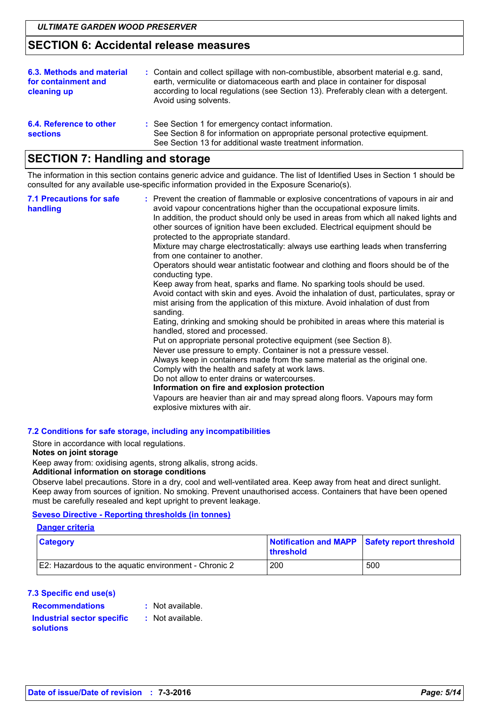### **SECTION 6: Accidental release measures**

| 6.3. Methods and material<br>for containment and<br>cleaning up | : Contain and collect spillage with non-combustible, absorbent material e.g. sand,<br>earth, vermiculite or diatomaceous earth and place in container for disposal<br>according to local regulations (see Section 13). Preferably clean with a detergent.<br>Avoid using solvents. |
|-----------------------------------------------------------------|------------------------------------------------------------------------------------------------------------------------------------------------------------------------------------------------------------------------------------------------------------------------------------|
| 6.4. Reference to other<br><b>sections</b>                      | : See Section 1 for emergency contact information.<br>See Section 8 for information on appropriate personal protective equipment.<br>See Section 13 for additional waste treatment information.                                                                                    |

### **SECTION 7: Handling and storage**

The information in this section contains generic advice and guidance. The list of Identified Uses in Section 1 should be consulted for any available use-specific information provided in the Exposure Scenario(s).

| <b>7.1 Precautions for safe</b><br>handling | : Prevent the creation of flammable or explosive concentrations of vapours in air and<br>avoid vapour concentrations higher than the occupational exposure limits.<br>In addition, the product should only be used in areas from which all naked lights and<br>other sources of ignition have been excluded. Electrical equipment should be<br>protected to the appropriate standard.<br>Mixture may charge electrostatically: always use earthing leads when transferring<br>from one container to another.<br>Operators should wear antistatic footwear and clothing and floors should be of the<br>conducting type.<br>Keep away from heat, sparks and flame. No sparking tools should be used.<br>Avoid contact with skin and eyes. Avoid the inhalation of dust, particulates, spray or<br>mist arising from the application of this mixture. Avoid inhalation of dust from<br>sanding.<br>Eating, drinking and smoking should be prohibited in areas where this material is<br>handled, stored and processed.<br>Put on appropriate personal protective equipment (see Section 8).<br>Never use pressure to empty. Container is not a pressure vessel.<br>Always keep in containers made from the same material as the original one.<br>Comply with the health and safety at work laws.<br>Do not allow to enter drains or watercourses.<br>Information on fire and explosion protection<br>Vapours are heavier than air and may spread along floors. Vapours may form<br>explosive mixtures with air. |
|---------------------------------------------|--------------------------------------------------------------------------------------------------------------------------------------------------------------------------------------------------------------------------------------------------------------------------------------------------------------------------------------------------------------------------------------------------------------------------------------------------------------------------------------------------------------------------------------------------------------------------------------------------------------------------------------------------------------------------------------------------------------------------------------------------------------------------------------------------------------------------------------------------------------------------------------------------------------------------------------------------------------------------------------------------------------------------------------------------------------------------------------------------------------------------------------------------------------------------------------------------------------------------------------------------------------------------------------------------------------------------------------------------------------------------------------------------------------------------------------------------------------------------------------------------------------|
|---------------------------------------------|--------------------------------------------------------------------------------------------------------------------------------------------------------------------------------------------------------------------------------------------------------------------------------------------------------------------------------------------------------------------------------------------------------------------------------------------------------------------------------------------------------------------------------------------------------------------------------------------------------------------------------------------------------------------------------------------------------------------------------------------------------------------------------------------------------------------------------------------------------------------------------------------------------------------------------------------------------------------------------------------------------------------------------------------------------------------------------------------------------------------------------------------------------------------------------------------------------------------------------------------------------------------------------------------------------------------------------------------------------------------------------------------------------------------------------------------------------------------------------------------------------------|

#### 7.2 Conditions for safe storage, including any incompatibilities

Store in accordance with local regulations.

#### Notes on joint storage

Keep away from: oxidising agents, strong alkalis, strong acids.

#### Additional information on storage conditions

Observe label precautions. Store in a dry, cool and well-ventilated area. Keep away from heat and direct sunlight. Keep away from sources of ignition. No smoking. Prevent unauthorised access. Containers that have been opened must be carefully resealed and kept upright to prevent leakage.

#### **Seveso Directive - Reporting thresholds (in tonnes)**

#### **Danger criteria**

| Category                                             | Notification and MAPP Safety report threshold<br><b>Infinition</b> |     |
|------------------------------------------------------|--------------------------------------------------------------------|-----|
| E2: Hazardous to the aquatic environment - Chronic 2 | 200                                                                | 500 |

#### 7.3 Specific end use(s)

**Recommendations** : Not available. **Industrial sector specific** : Not available. **solutions**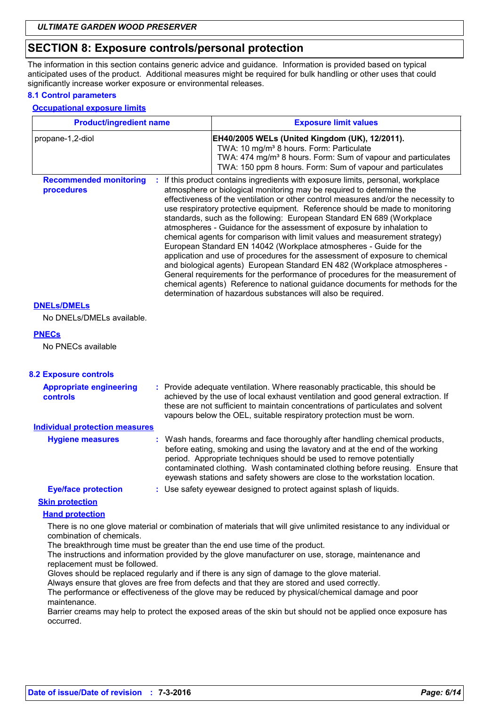### **SECTION 8: Exposure controls/personal protection**

The information in this section contains generic advice and guidance. Information is provided based on typical anticipated uses of the product. Additional measures might be required for bulk handling or other uses that could significantly increase worker exposure or environmental releases.

#### **8.1 Control parameters**

#### **Occupational exposure limits**

| <b>Product/ingredient name</b>                                                          |                                                                                                                                                                                                                                                                                                                                                                                                                                                                                                                                                                                                                                                                                                                                                                                                                                                                                                                                                                                                                                    | <b>Exposure limit values</b>                                                                                                                                                                                                                                                                                                                                                                                                                                                                                                                                                                                                                                                                                                     |  |
|-----------------------------------------------------------------------------------------|------------------------------------------------------------------------------------------------------------------------------------------------------------------------------------------------------------------------------------------------------------------------------------------------------------------------------------------------------------------------------------------------------------------------------------------------------------------------------------------------------------------------------------------------------------------------------------------------------------------------------------------------------------------------------------------------------------------------------------------------------------------------------------------------------------------------------------------------------------------------------------------------------------------------------------------------------------------------------------------------------------------------------------|----------------------------------------------------------------------------------------------------------------------------------------------------------------------------------------------------------------------------------------------------------------------------------------------------------------------------------------------------------------------------------------------------------------------------------------------------------------------------------------------------------------------------------------------------------------------------------------------------------------------------------------------------------------------------------------------------------------------------------|--|
| propane-1,2-diol                                                                        |                                                                                                                                                                                                                                                                                                                                                                                                                                                                                                                                                                                                                                                                                                                                                                                                                                                                                                                                                                                                                                    | EH40/2005 WELs (United Kingdom (UK), 12/2011).<br>TWA: 10 mg/m <sup>3</sup> 8 hours. Form: Particulate<br>TWA: 474 mg/m <sup>3</sup> 8 hours. Form: Sum of vapour and particulates<br>TWA: 150 ppm 8 hours. Form: Sum of vapour and particulates                                                                                                                                                                                                                                                                                                                                                                                                                                                                                 |  |
| <b>Recommended monitoring</b><br>procedures                                             | : If this product contains ingredients with exposure limits, personal, workplace<br>atmosphere or biological monitoring may be required to determine the<br>effectiveness of the ventilation or other control measures and/or the necessity to<br>use respiratory protective equipment. Reference should be made to monitoring<br>standards, such as the following: European Standard EN 689 (Workplace<br>atmospheres - Guidance for the assessment of exposure by inhalation to<br>chemical agents for comparison with limit values and measurement strategy)<br>European Standard EN 14042 (Workplace atmospheres - Guide for the<br>application and use of procedures for the assessment of exposure to chemical<br>and biological agents) European Standard EN 482 (Workplace atmospheres -<br>General requirements for the performance of procedures for the measurement of<br>chemical agents) Reference to national guidance documents for methods for the<br>determination of hazardous substances will also be required. |                                                                                                                                                                                                                                                                                                                                                                                                                                                                                                                                                                                                                                                                                                                                  |  |
| <b>DNELS/DMELS</b>                                                                      |                                                                                                                                                                                                                                                                                                                                                                                                                                                                                                                                                                                                                                                                                                                                                                                                                                                                                                                                                                                                                                    |                                                                                                                                                                                                                                                                                                                                                                                                                                                                                                                                                                                                                                                                                                                                  |  |
| No DNELs/DMELs available.                                                               |                                                                                                                                                                                                                                                                                                                                                                                                                                                                                                                                                                                                                                                                                                                                                                                                                                                                                                                                                                                                                                    |                                                                                                                                                                                                                                                                                                                                                                                                                                                                                                                                                                                                                                                                                                                                  |  |
| <b>PNECs</b>                                                                            |                                                                                                                                                                                                                                                                                                                                                                                                                                                                                                                                                                                                                                                                                                                                                                                                                                                                                                                                                                                                                                    |                                                                                                                                                                                                                                                                                                                                                                                                                                                                                                                                                                                                                                                                                                                                  |  |
| No PNECs available                                                                      |                                                                                                                                                                                                                                                                                                                                                                                                                                                                                                                                                                                                                                                                                                                                                                                                                                                                                                                                                                                                                                    |                                                                                                                                                                                                                                                                                                                                                                                                                                                                                                                                                                                                                                                                                                                                  |  |
| <b>8.2 Exposure controls</b><br><b>Appropriate engineering</b><br><b>controls</b>       |                                                                                                                                                                                                                                                                                                                                                                                                                                                                                                                                                                                                                                                                                                                                                                                                                                                                                                                                                                                                                                    | : Provide adequate ventilation. Where reasonably practicable, this should be<br>achieved by the use of local exhaust ventilation and good general extraction. If<br>these are not sufficient to maintain concentrations of particulates and solvent<br>vapours below the OEL, suitable respiratory protection must be worn.                                                                                                                                                                                                                                                                                                                                                                                                      |  |
| <b>Individual protection measures</b>                                                   |                                                                                                                                                                                                                                                                                                                                                                                                                                                                                                                                                                                                                                                                                                                                                                                                                                                                                                                                                                                                                                    |                                                                                                                                                                                                                                                                                                                                                                                                                                                                                                                                                                                                                                                                                                                                  |  |
| <b>Hygiene measures</b>                                                                 |                                                                                                                                                                                                                                                                                                                                                                                                                                                                                                                                                                                                                                                                                                                                                                                                                                                                                                                                                                                                                                    | Wash hands, forearms and face thoroughly after handling chemical products,<br>before eating, smoking and using the lavatory and at the end of the working<br>period. Appropriate techniques should be used to remove potentially<br>contaminated clothing. Wash contaminated clothing before reusing. Ensure that<br>eyewash stations and safety showers are close to the workstation location.                                                                                                                                                                                                                                                                                                                                  |  |
| <b>Eye/face protection</b>                                                              |                                                                                                                                                                                                                                                                                                                                                                                                                                                                                                                                                                                                                                                                                                                                                                                                                                                                                                                                                                                                                                    | : Use safety eyewear designed to protect against splash of liquids.                                                                                                                                                                                                                                                                                                                                                                                                                                                                                                                                                                                                                                                              |  |
| <b>Skin protection</b>                                                                  |                                                                                                                                                                                                                                                                                                                                                                                                                                                                                                                                                                                                                                                                                                                                                                                                                                                                                                                                                                                                                                    |                                                                                                                                                                                                                                                                                                                                                                                                                                                                                                                                                                                                                                                                                                                                  |  |
| <b>Hand protection</b>                                                                  |                                                                                                                                                                                                                                                                                                                                                                                                                                                                                                                                                                                                                                                                                                                                                                                                                                                                                                                                                                                                                                    |                                                                                                                                                                                                                                                                                                                                                                                                                                                                                                                                                                                                                                                                                                                                  |  |
| combination of chemicals.<br>replacement must be followed.<br>maintenance.<br>occurred. |                                                                                                                                                                                                                                                                                                                                                                                                                                                                                                                                                                                                                                                                                                                                                                                                                                                                                                                                                                                                                                    | There is no one glove material or combination of materials that will give unlimited resistance to any individual or<br>The breakthrough time must be greater than the end use time of the product.<br>The instructions and information provided by the glove manufacturer on use, storage, maintenance and<br>Gloves should be replaced regularly and if there is any sign of damage to the glove material.<br>Always ensure that gloves are free from defects and that they are stored and used correctly.<br>The performance or effectiveness of the glove may be reduced by physical/chemical damage and poor<br>Barrier creams may help to protect the exposed areas of the skin but should not be applied once exposure has |  |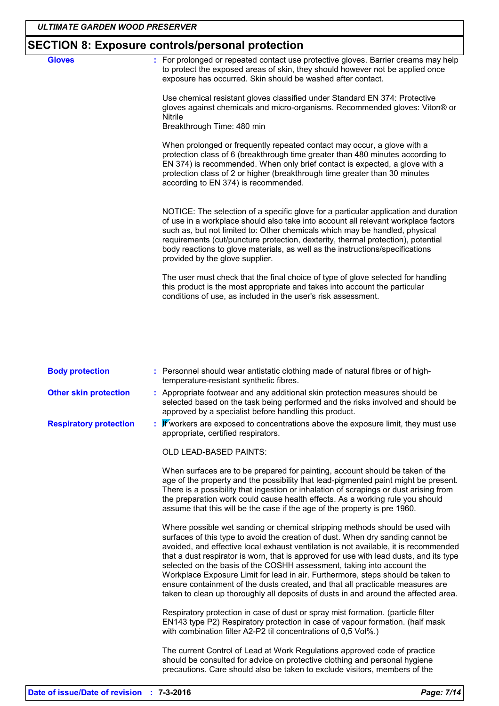## SECTION 8: Exposure controls/personal protection

| <b>Gloves</b>          | : For prolonged or repeated contact use protective gloves. Barrier creams may help                                                                                                                                                                                                                                                                                                                                                                               |
|------------------------|------------------------------------------------------------------------------------------------------------------------------------------------------------------------------------------------------------------------------------------------------------------------------------------------------------------------------------------------------------------------------------------------------------------------------------------------------------------|
|                        | to protect the exposed areas of skin, they should however not be applied once                                                                                                                                                                                                                                                                                                                                                                                    |
|                        | exposure has occurred. Skin should be washed after contact.                                                                                                                                                                                                                                                                                                                                                                                                      |
|                        | Use chemical resistant gloves classified under Standard EN 374: Protective<br>gloves against chemicals and micro-organisms. Recommended gloves: Viton® or<br><b>Nitrile</b>                                                                                                                                                                                                                                                                                      |
|                        | Breakthrough Time: 480 min                                                                                                                                                                                                                                                                                                                                                                                                                                       |
|                        | When prolonged or frequently repeated contact may occur, a glove with a<br>protection class of 6 (breakthrough time greater than 480 minutes according to<br>EN 374) is recommended. When only brief contact is expected, a glove with a<br>protection class of 2 or higher (breakthrough time greater than 30 minutes<br>according to EN 374) is recommended.                                                                                                   |
|                        | NOTICE: The selection of a specific glove for a particular application and duration<br>of use in a workplace should also take into account all relevant workplace factors<br>such as, but not limited to: Other chemicals which may be handled, physical<br>requirements (cut/puncture protection, dexterity, thermal protection), potential<br>body reactions to glove materials, as well as the instructions/specifications<br>provided by the glove supplier. |
|                        | The user must check that the final choice of type of glove selected for handling<br>this product is the most appropriate and takes into account the particular<br>conditions of use, as included in the user's risk assessment.                                                                                                                                                                                                                                  |
|                        |                                                                                                                                                                                                                                                                                                                                                                                                                                                                  |
|                        |                                                                                                                                                                                                                                                                                                                                                                                                                                                                  |
| <b>Body protection</b> | : Personnel should wear antistatic clothing made of natural fibres or of high-                                                                                                                                                                                                                                                                                                                                                                                   |

|                               | temperature-resistant synthetic fibres.                                                                                                                                                                                                                                                                                                                                                                                                                                                                                                                                                                                                                                                 |
|-------------------------------|-----------------------------------------------------------------------------------------------------------------------------------------------------------------------------------------------------------------------------------------------------------------------------------------------------------------------------------------------------------------------------------------------------------------------------------------------------------------------------------------------------------------------------------------------------------------------------------------------------------------------------------------------------------------------------------------|
| <b>Other skin protection</b>  | : Appropriate footwear and any additional skin protection measures should be<br>selected based on the task being performed and the risks involved and should be<br>approved by a specialist before handling this product.                                                                                                                                                                                                                                                                                                                                                                                                                                                               |
| <b>Respiratory protection</b> | If workers are exposed to concentrations above the exposure limit, they must use<br>appropriate, certified respirators.                                                                                                                                                                                                                                                                                                                                                                                                                                                                                                                                                                 |
|                               | <b>OLD LEAD-BASED PAINTS:</b>                                                                                                                                                                                                                                                                                                                                                                                                                                                                                                                                                                                                                                                           |
|                               | When surfaces are to be prepared for painting, account should be taken of the<br>age of the property and the possibility that lead-pigmented paint might be present.<br>There is a possibility that ingestion or inhalation of scrapings or dust arising from<br>the preparation work could cause health effects. As a working rule you should<br>assume that this will be the case if the age of the property is pre 1960.                                                                                                                                                                                                                                                             |
|                               | Where possible wet sanding or chemical stripping methods should be used with<br>surfaces of this type to avoid the creation of dust. When dry sanding cannot be<br>avoided, and effective local exhaust ventilation is not available, it is recommended<br>that a dust respirator is worn, that is approved for use with lead dusts, and its type<br>selected on the basis of the COSHH assessment, taking into account the<br>Workplace Exposure Limit for lead in air. Furthermore, steps should be taken to<br>ensure containment of the dusts created, and that all practicable measures are<br>taken to clean up thoroughly all deposits of dusts in and around the affected area. |
|                               | Respiratory protection in case of dust or spray mist formation. (particle filter<br>EN143 type P2) Respiratory protection in case of vapour formation. (half mask<br>with combination filter A2-P2 til concentrations of 0,5 Vol%.)                                                                                                                                                                                                                                                                                                                                                                                                                                                     |
|                               | The current Control of Lead at Work Regulations approved code of practice<br>should be consulted for advice on protective clothing and personal hygiene<br>precautions. Care should also be taken to exclude visitors, members of the                                                                                                                                                                                                                                                                                                                                                                                                                                                   |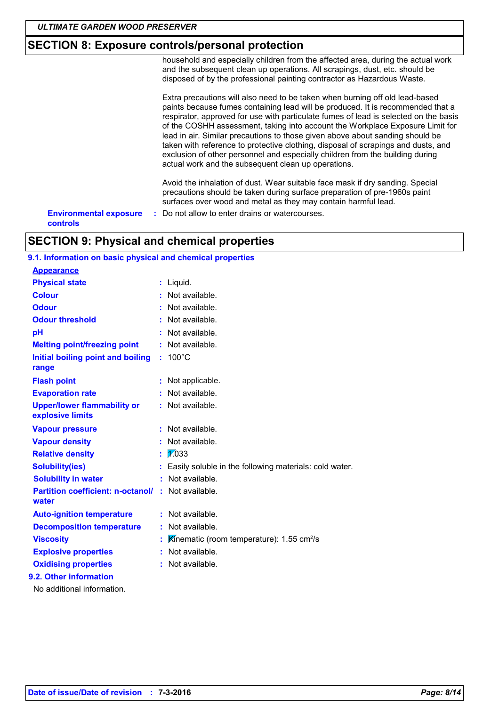### **SECTION 8: Exposure controls/personal protection**

household and especially children from the affected area, during the actual work and the subsequent clean up operations. All scrapings, dust, etc. should be disposed of by the professional painting contractor as Hazardous Waste.

Extra precautions will also need to be taken when burning off old lead-based paints because fumes containing lead will be produced. It is recommended that a respirator, approved for use with particulate fumes of lead is selected on the basis of the COSHH assessment, taking into account the Workplace Exposure Limit for lead in air. Similar precautions to those given above about sanding should be taken with reference to protective clothing, disposal of scrapings and dusts, and exclusion of other personnel and especially children from the building during actual work and the subsequent clean up operations.

Avoid the inhalation of dust. Wear suitable face mask if dry sanding. Special precautions should be taken during surface preparation of pre-1960s paint surfaces over wood and metal as they may contain harmful lead.

**Environmental exposure** controls

: Do not allow to enter drains or watercourses.

### **SECTION 9: Physical and chemical properties**

#### 9.1. Information on basic physical and chemical properties

| <b>Appearance</b>                                      |   |                                                        |
|--------------------------------------------------------|---|--------------------------------------------------------|
| <b>Physical state</b>                                  |   | : Liquid.                                              |
| <b>Colour</b>                                          |   | Not available.                                         |
| <b>Odour</b>                                           |   | Not available.                                         |
| <b>Odour threshold</b>                                 |   | Not available.                                         |
| рH                                                     |   | Not available.                                         |
| <b>Melting point/freezing point</b>                    |   | Not available.                                         |
| Initial boiling point and boiling<br>range             |   | $: 100^{\circ}$ C                                      |
| <b>Flash point</b>                                     |   | Not applicable.                                        |
| <b>Evaporation rate</b>                                |   | Not available.                                         |
| <b>Upper/lower flammability or</b><br>explosive limits |   | : Not available.                                       |
| <b>Vapour pressure</b>                                 |   | Not available.                                         |
| <b>Vapour density</b>                                  |   | Not available.                                         |
| <b>Relative density</b>                                | t | $\sqrt{2}$ 033                                         |
| <b>Solubility(ies)</b>                                 |   | Easily soluble in the following materials: cold water. |
| <b>Solubility in water</b>                             | ÷ | Not available.                                         |
| <b>Partition coefficient: n-octanol/:</b><br>water     |   | Not available.                                         |
| <b>Auto-ignition temperature</b>                       |   | Not available.                                         |
| <b>Decomposition temperature</b>                       |   | Not available.                                         |
| <b>Viscosity</b>                                       | t | Kinematic (room temperature): 1.55 cm <sup>2</sup> /s  |
| <b>Explosive properties</b>                            | ÷ | Not available.                                         |
| <b>Oxidising properties</b>                            |   | Not available.                                         |
| 9.2. Other information                                 |   |                                                        |
| No additional information.                             |   |                                                        |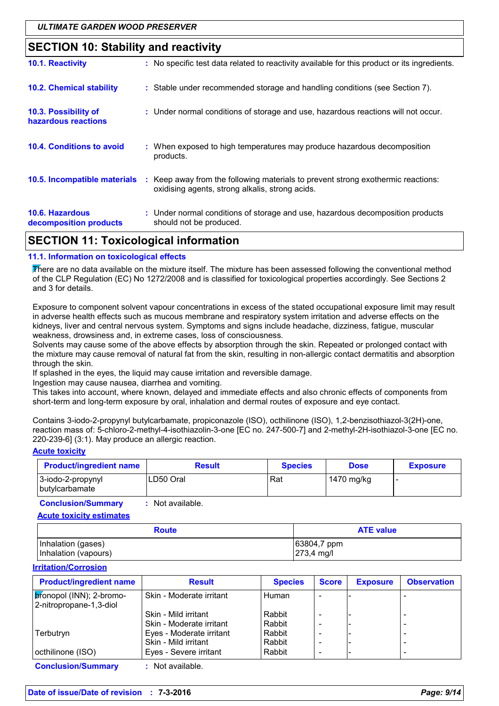### **SECTION 10: Stability and reactivity**

| 10.1. Reactivity                            | : No specific test data related to reactivity available for this product or its ingredients.                                        |
|---------------------------------------------|-------------------------------------------------------------------------------------------------------------------------------------|
| <b>10.2. Chemical stability</b>             | : Stable under recommended storage and handling conditions (see Section 7).                                                         |
| 10.3. Possibility of<br>hazardous reactions | : Under normal conditions of storage and use, hazardous reactions will not occur.                                                   |
| <b>10.4. Conditions to avoid</b>            | : When exposed to high temperatures may produce hazardous decomposition<br>products.                                                |
| 10.5. Incompatible materials                | : Keep away from the following materials to prevent strong exothermic reactions:<br>oxidising agents, strong alkalis, strong acids. |
| 10.6. Hazardous<br>decomposition products   | : Under normal conditions of storage and use, hazardous decomposition products<br>should not be produced.                           |

### **SECTION 11: Toxicological information**

#### 11.1. Information on toxicological effects

There are no data available on the mixture itself. The mixture has been assessed following the conventional method of the CLP Regulation (EC) No 1272/2008 and is classified for toxicological properties accordingly. See Sections 2 and 3 for details.

Exposure to component solvent vapour concentrations in excess of the stated occupational exposure limit may result in adverse health effects such as mucous membrane and respiratory system irritation and adverse effects on the kidneys, liver and central nervous system. Symptoms and signs include headache, dizziness, fatigue, muscular weakness, drowsiness and, in extreme cases, loss of consciousness.

Solvents may cause some of the above effects by absorption through the skin. Repeated or prolonged contact with the mixture may cause removal of natural fat from the skin, resulting in non-allergic contact dermatitis and absorption through the skin.

If splashed in the eyes, the liquid may cause irritation and reversible damage.

Ingestion may cause nausea, diarrhea and vomiting.

This takes into account, where known, delayed and immediate effects and also chronic effects of components from short-term and long-term exposure by oral, inhalation and dermal routes of exposure and eye contact.

Contains 3-iodo-2-propynyl butylcarbamate, propiconazole (ISO), octhilinone (ISO), 1,2-benzisothiazol-3(2H)-one, reaction mass of: 5-chloro-2-methyl-4-isothiazolin-3-one [EC no. 247-500-7] and 2-methyl-2H-isothiazol-3-one [EC no. 220-239-6] (3:1). May produce an allergic reaction.

#### **Acute toxicity**

| <b>Product/ingredient name</b>      | <b>Result</b> | <b>Species</b> | <b>Dose</b> | <b>Exposure</b> |
|-------------------------------------|---------------|----------------|-------------|-----------------|
| 3-iodo-2-propynyl<br>butylcarbamate | ILD50 Oral    | l Rat          | 1470 mg/kg  |                 |

**Conclusion/Summary** : Not available.

**Acute toxicity estimates** 

| <b>Route</b>         | <b>ATE value</b> |  |
|----------------------|------------------|--|
| Inhalation (gases)   | 63804,7 ppm      |  |
| Inhalation (vapours) | 273,4 mg/l       |  |

#### **Irritation/Corrosion**

| <b>Product/ingredient name</b>                      | <b>Result</b>            | <b>Species</b> | <b>Score</b> | <b>Exposure</b> | <b>Observation</b> |
|-----------------------------------------------------|--------------------------|----------------|--------------|-----------------|--------------------|
| bronopol (INN); 2-bromo-<br>2-nitropropane-1,3-diol | Skin - Moderate irritant | <b>Human</b>   |              |                 |                    |
|                                                     | Skin - Mild irritant     | Rabbit         |              |                 |                    |
|                                                     | Skin - Moderate irritant | Rabbit         |              |                 |                    |
| Terbutryn                                           | Eyes - Moderate irritant | Rabbit         |              |                 |                    |
|                                                     | Skin - Mild irritant     | Rabbit         |              |                 |                    |
| octhilinone (ISO)                                   | Eyes - Severe irritant   | Rabbit         |              |                 |                    |
| <b>Conclusion/Summary</b>                           | Not available.           |                |              |                 |                    |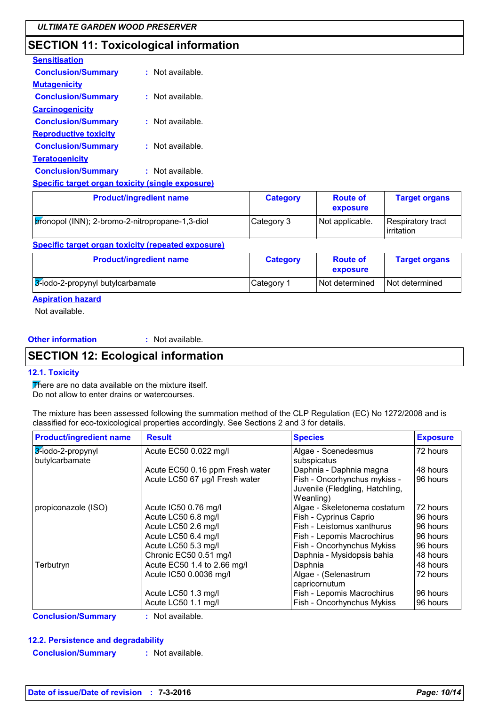### **SECTION 11: Toxicological information**

| <b>Sensitisation</b>                                    |                      |  |
|---------------------------------------------------------|----------------------|--|
| <b>Conclusion/Summary</b>                               | Not available.       |  |
| <b>Mutagenicity</b>                                     |                      |  |
| <b>Conclusion/Summary</b>                               | Not available.<br>t. |  |
| <b>Carcinogenicity</b>                                  |                      |  |
| <b>Conclusion/Summary</b>                               | Not available.       |  |
| <b>Reproductive toxicity</b>                            |                      |  |
| <b>Conclusion/Summary</b>                               | Not available.       |  |
| <b>Teratogenicity</b>                                   |                      |  |
| <b>Conclusion/Summary</b>                               | Not available.       |  |
| <b>Specific target organ toxicity (single exposure)</b> |                      |  |

| <u>speeme tai get ei gan textient fenigie expection</u> |                 |                             |                                 |
|---------------------------------------------------------|-----------------|-----------------------------|---------------------------------|
| <b>Product/ingredient name</b>                          | <b>Category</b> | <b>Route of</b><br>exposure | <b>Target organs</b>            |
| bronopol (INN); 2-bromo-2-nitropropane-1,3-diol         | Category 3      | Not applicable.             | Respiratory tract<br>irritation |

#### **Specific target organ toxicity (repeated exposure)**

| <b>Product/ingredient name</b>   | <b>Category</b> | <b>Route of</b><br>exposure | <b>Target organs</b> |
|----------------------------------|-----------------|-----------------------------|----------------------|
| 3-iodo-2-propynyl butylcarbamate | Category 1      | Not determined              | Not determined       |

#### **Aspiration hazard**

Not available.

#### **Other information**

: Not available.

### **SECTION 12: Ecological information**

#### 12.1. Toxicity

There are no data available on the mixture itself. Do not allow to enter drains or watercourses.

The mixture has been assessed following the summation method of the CLP Regulation (EC) No 1272/2008 and is classified for eco-toxicological properties accordingly. See Sections 2 and 3 for details.

| <b>Product/ingredient name</b>      | <b>Result</b>                          | <b>Species</b>                                                               | <b>Exposure</b> |
|-------------------------------------|----------------------------------------|------------------------------------------------------------------------------|-----------------|
| 3-iodo-2-propynyl<br>butylcarbamate | Acute EC50 0.022 mg/l                  | Algae - Scenedesmus<br>subspicatus                                           | 72 hours        |
|                                     | Acute EC50 0.16 ppm Fresh water        | Daphnia - Daphnia magna                                                      | 48 hours        |
|                                     | Acute LC50 67 µg/l Fresh water         | Fish - Oncorhynchus mykiss -<br>Juvenile (Fledgling, Hatchling,<br>Weanling) | 96 hours        |
| propiconazole (ISO)                 | Acute IC50 0.76 mg/l                   | Algae - Skeletonema costatum                                                 | 72 hours        |
|                                     | Acute LC50 6.8 mg/l                    | Fish - Cyprinus Caprio                                                       | 96 hours        |
|                                     | Acute LC50 2.6 mg/l                    | Fish - Leistomus xanthurus                                                   | 96 hours        |
|                                     | Acute LC50 6.4 mg/l                    | Fish - Lepomis Macrochirus                                                   | 96 hours        |
|                                     | Acute LC50 5.3 mg/l                    | Fish - Oncorhynchus Mykiss                                                   | 96 hours        |
|                                     | Chronic EC50 0.51 mg/l                 | Daphnia - Mysidopsis bahia                                                   | 48 hours        |
| Terbutryn                           | Acute EC50 1.4 to 2.66 mg/l            | Daphnia                                                                      | 48 hours        |
|                                     | Acute IC50 0.0036 mg/l                 | Algae - (Selenastrum<br>capricornutum                                        | 72 hours        |
|                                     | Acute LC50 1.3 mg/l                    | Fish - Lepomis Macrochirus                                                   | 96 hours        |
| $\sim$ $\sim$ $\sim$ $\sim$ $\sim$  | Acute LC50 1.1 mg/l<br><b>ALC 1999</b> | Fish - Oncorhynchus Mykiss                                                   | 96 hours        |

**Conclusion/Summary** : Not available.

#### 12.2. Persistence and degradability

**Conclusion/Summary** : Not available.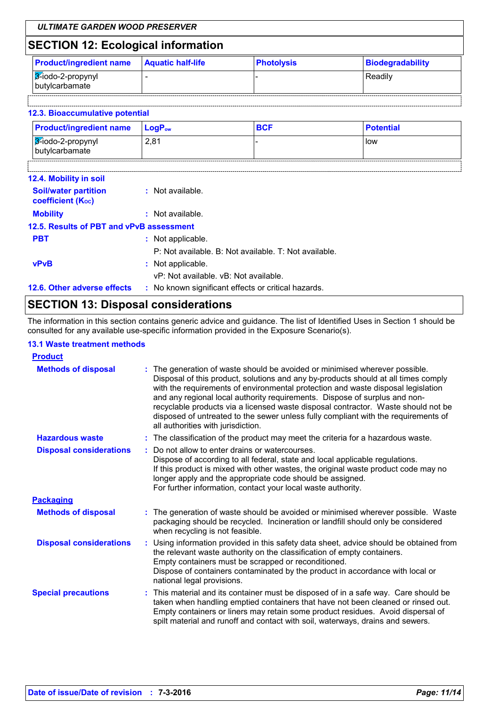## **SECTION 12: Ecological information**

| <b>Product/ingredient name</b>      | <b>Aquatic half-life</b> | <b>Photolysis</b> | <b>Biodegradability</b> |
|-------------------------------------|--------------------------|-------------------|-------------------------|
| 3-iodo-2-propynyl<br>butylcarbamate |                          |                   | Readily                 |
|                                     |                          |                   |                         |

#### 12.3. Bioaccumulative potential

| <b>Product/ingredient name</b>         | $LogP_{ow}$ | <b>BCF</b> | <b>Potential</b> |
|----------------------------------------|-------------|------------|------------------|
| $3$ -iodo-2-propynyl<br>butylcarbamate | 2,81        |            | l low            |
|                                        |             |            |                  |

| <b>12.4. Mobility in soil</b>                           |                                                       |
|---------------------------------------------------------|-------------------------------------------------------|
| <b>Soil/water partition</b><br><b>coefficient (Koc)</b> | : Not available.                                      |
| <b>Mobility</b>                                         | $:$ Not available.                                    |
| 12.5. Results of PBT and vPvB assessment                |                                                       |
| <b>PBT</b>                                              | : Not applicable.                                     |
|                                                         | P: Not available. B: Not available. T: Not available. |
| <b>vPvB</b>                                             | : Not applicable.                                     |
|                                                         | vP: Not available, vB: Not available.                 |
| 12.6. Other adverse effects                             | : No known significant effects or critical hazards.   |

### **SECTION 13: Disposal considerations**

The information in this section contains generic advice and guidance. The list of Identified Uses in Section 1 should be consulted for any available use-specific information provided in the Exposure Scenario(s).

#### **13.1 Waste treatment methods**

| <b>Product</b>                 |                                                                                                                                                                                                                                                                                                                                                                                                                                                                                                                                                    |
|--------------------------------|----------------------------------------------------------------------------------------------------------------------------------------------------------------------------------------------------------------------------------------------------------------------------------------------------------------------------------------------------------------------------------------------------------------------------------------------------------------------------------------------------------------------------------------------------|
| <b>Methods of disposal</b>     | The generation of waste should be avoided or minimised wherever possible.<br>Disposal of this product, solutions and any by-products should at all times comply<br>with the requirements of environmental protection and waste disposal legislation<br>and any regional local authority requirements. Dispose of surplus and non-<br>recyclable products via a licensed waste disposal contractor. Waste should not be<br>disposed of untreated to the sewer unless fully compliant with the requirements of<br>all authorities with jurisdiction. |
| <b>Hazardous waste</b>         | : The classification of the product may meet the criteria for a hazardous waste.                                                                                                                                                                                                                                                                                                                                                                                                                                                                   |
| <b>Disposal considerations</b> | : Do not allow to enter drains or watercourses.<br>Dispose of according to all federal, state and local applicable regulations.<br>If this product is mixed with other wastes, the original waste product code may no<br>longer apply and the appropriate code should be assigned.<br>For further information, contact your local waste authority.                                                                                                                                                                                                 |
| <b>Packaging</b>               |                                                                                                                                                                                                                                                                                                                                                                                                                                                                                                                                                    |
| <b>Methods of disposal</b>     | The generation of waste should be avoided or minimised wherever possible. Waste<br>packaging should be recycled. Incineration or landfill should only be considered<br>when recycling is not feasible.                                                                                                                                                                                                                                                                                                                                             |
| <b>Disposal considerations</b> | : Using information provided in this safety data sheet, advice should be obtained from<br>the relevant waste authority on the classification of empty containers.<br>Empty containers must be scrapped or reconditioned.<br>Dispose of containers contaminated by the product in accordance with local or<br>national legal provisions.                                                                                                                                                                                                            |
| <b>Special precautions</b>     | : This material and its container must be disposed of in a safe way. Care should be<br>taken when handling emptied containers that have not been cleaned or rinsed out.<br>Empty containers or liners may retain some product residues. Avoid dispersal of<br>spilt material and runoff and contact with soil, waterways, drains and sewers.                                                                                                                                                                                                       |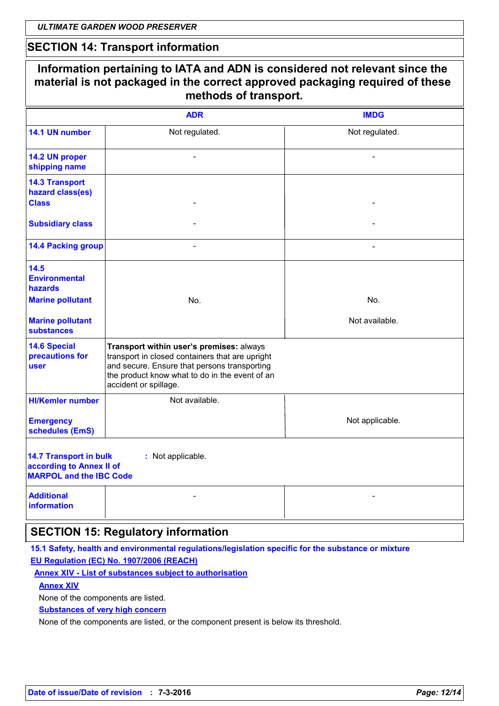### **SECTION 14: Transport information**

|                                                                                             | <b>ADR</b>                                                                                                                                                                                                             | <b>IMDG</b>    |
|---------------------------------------------------------------------------------------------|------------------------------------------------------------------------------------------------------------------------------------------------------------------------------------------------------------------------|----------------|
|                                                                                             |                                                                                                                                                                                                                        |                |
| 14.1 UN number                                                                              | Not regulated.                                                                                                                                                                                                         | Not regulated. |
| 14.2 UN proper<br>shipping name                                                             |                                                                                                                                                                                                                        |                |
| <b>14.3 Transport</b><br>hazard class(es)<br><b>Class</b>                                   |                                                                                                                                                                                                                        |                |
| <b>Subsidiary class</b>                                                                     |                                                                                                                                                                                                                        |                |
| <b>14.4 Packing group</b>                                                                   | $\overline{\phantom{0}}$                                                                                                                                                                                               | $\overline{a}$ |
| 14.5<br><b>Environmental</b><br>hazards                                                     |                                                                                                                                                                                                                        |                |
| <b>Marine pollutant</b>                                                                     | No.                                                                                                                                                                                                                    | No.            |
| <b>Marine pollutant</b><br><b>substances</b>                                                |                                                                                                                                                                                                                        | Not available. |
| <b>14.6 Special</b><br>precautions for<br>user                                              | Transport within user's premises: always<br>transport in closed containers that are upright<br>and secure. Ensure that persons transporting<br>the product know what to do in the event of an<br>accident or spillage. |                |
| <b>HI/Kemler number</b>                                                                     | Not available.                                                                                                                                                                                                         |                |
| <b>Emergency</b><br>schedules (EmS)                                                         | Not applicable.                                                                                                                                                                                                        |                |
| <b>14.7 Transport in bulk</b><br>according to Annex II of<br><b>MARPOL and the IBC Code</b> | : Not applicable.                                                                                                                                                                                                      |                |
| <b>Additional</b><br>information                                                            |                                                                                                                                                                                                                        |                |

### **SECTION 15: Regulatory information**

15.1 Safety, health and environmental regulations/legislation specific for the substance or mixture EU Regulation (EC) No. 1907/2006 (REACH)

**Annex XIV - List of substances subject to authorisation** 

**Annex XIV** 

None of the components are listed.

**Substances of very high concern** 

None of the components are listed, or the component present is below its threshold.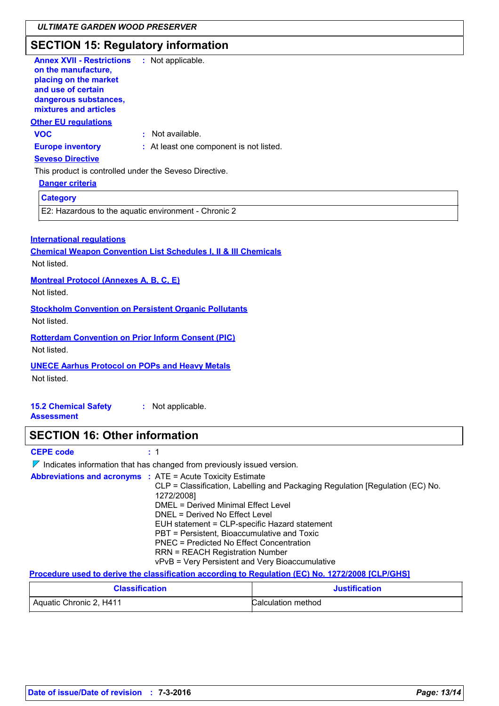### **SECTION 15: Regulatory information**

**Annex XVII - Restrictions** : Not applicable. on the manufacture, placing on the market and use of certain dangerous substances, mixtures and articles **Other EU regulations VOC** : Not available. : At least one component is not listed. **Europe inventory Seveso Directive** 

This product is controlled under the Seveso Directive.

#### **Danger criteria**

#### **Category**

E2: Hazardous to the aquatic environment - Chronic 2

#### **International regulations**

#### **Chemical Weapon Convention List Schedules I, II & III Chemicals** Not listed.

**Montreal Protocol (Annexes A, B, C, E)** 

Not listed

### **Stockholm Convention on Persistent Organic Pollutants**

Not listed

**Rotterdam Convention on Prior Inform Consent (PIC)** Not listed.

#### **UNECE Aarhus Protocol on POPs and Heavy Metals**

Not listed.

#### **15.2 Chemical Safety** : Not applicable. **Assessment**

#### **SECTION 16: Other information CEPE code**  $\div$  1  $\nabla$  Indicates information that has changed from previously issued version. **Abbreviations and acronyms : ATE = Acute Toxicity Estimate** CLP = Classification, Labelling and Packaging Regulation [Regulation (EC) No. 1272/2008] DMEL = Derived Minimal Effect Level

DNEL = Derived No Effect Level EUH statement = CLP-specific Hazard statement PBT = Persistent, Bioaccumulative and Toxic **PNEC = Predicted No Effect Concentration RRN = REACH Registration Number** vPvB = Very Persistent and Very Bioaccumulative Procedure used to derive the classification according to Regulation (EC) No. 1272/2008 [CLP/GHS]

| <b>Classification</b>   | Justification      |
|-------------------------|--------------------|
| Aquatic Chronic 2, H411 | Calculation method |